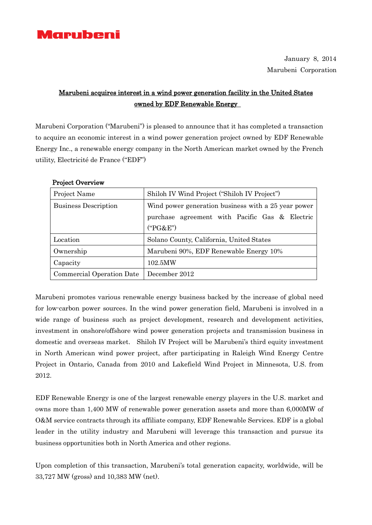

## Marubeni acquires interest in a wind power generation facility in the United States owned by EDF Renewable Energy

Marubeni Corporation ("Marubeni") is pleased to announce that it has completed a transaction to acquire an economic interest in a wind power generation project owned by EDF Renewable Energy Inc., a renewable energy company in the North American market owned by the French utility, Electricité de France ("EDF")

| Project Name                | Shiloh IV Wind Project ("Shiloh IV Project")        |
|-----------------------------|-----------------------------------------------------|
| <b>Business Description</b> | Wind power generation business with a 25 year power |
|                             | purchase agreement with Pacific Gas & Electric      |
|                             | ("PG&E")                                            |
| Location                    | Solano County, California, United States            |
| Ownership                   | Marubeni 90%, EDF Renewable Energy 10%              |
| Capacity                    | 102.5MW                                             |
| Commercial Operation Date   | December 2012                                       |

#### Project Overview

Marubeni promotes various renewable energy business backed by the increase of global need for low-carbon power sources. In the wind power generation field, Marubeni is involved in a wide range of business such as project development, research and development activities, investment in onshore/offshore wind power generation projects and transmission business in domestic and overseas market. Shiloh IV Project will be Marubeni's third equity investment in North American wind power project, after participating in Raleigh Wind Energy Centre Project in Ontario, Canada from 2010 and Lakefield Wind Project in Minnesota, U.S. from 2012.

EDF Renewable Energy is one of the largest renewable energy players in the U.S. market and owns more than 1,400 MW of renewable power generation assets and more than 6,000MW of O&M service contracts through its affiliate company, EDF Renewable Services. EDF is a global leader in the utility industry and Marubeni will leverage this transaction and pursue its business opportunities both in North America and other regions.

Upon completion of this transaction, Marubeni's total generation capacity, worldwide, will be 33,727 MW (gross) and 10,383 MW (net).